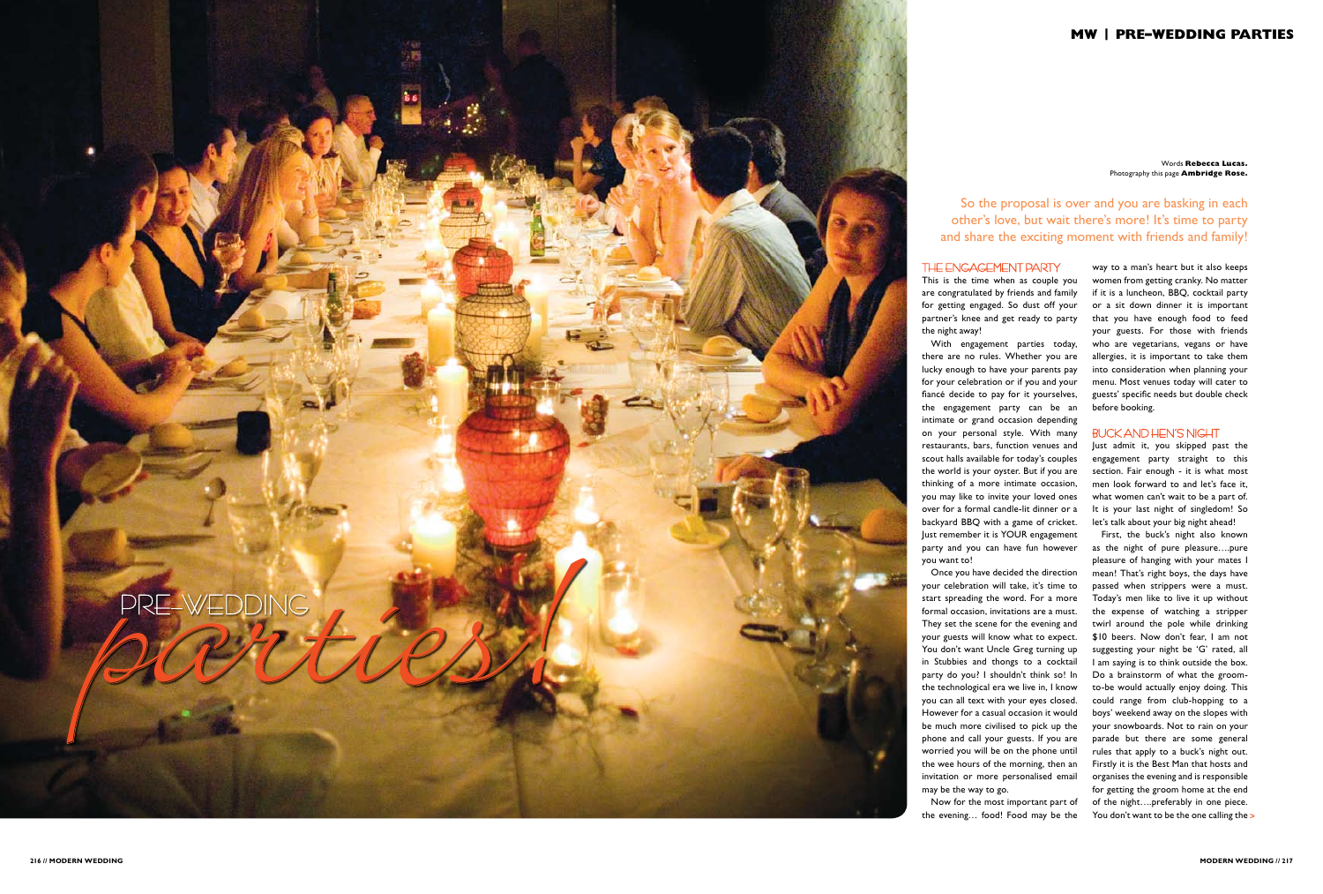Words **Rebecca Lucas.** Photography this page **Ambridge Rose.**

way to a man's heart but it also keeps women from getting cranky. No matter if it is a luncheon, BBQ, cocktail party or a sit down dinner it is important that you have enough food to feed your guests. For those with friends who are vegetarians, vegans or have allergies, it is important to take them into consideration when planning your menu. Most venues today will cater to guests' specific needs but double check before booking.

First, the buck's night also known as the night of pure pleasure….pure pleasure of hanging with your mates I mean! That's right boys, the days have passed when strippers were a must. Today's men like to live it up without the expense of watching a stripper twirl around the pole while drinking \$10 beers. Now don't fear, I am not suggesting your night be 'G' rated, all I am saying is to think outside the box. Do a brainstorm of what the groomto-be would actually enjoy doing. This could range from club-hopping to a boys' weekend away on the slopes with your snowboards. Not to rain on your parade but there are some general rules that apply to a buck's night out. Firstly it is the Best Man that hosts and organises the evening and is responsible for getting the groom home at the end of the night….preferably in one piece. You don't want to be the one calling the >

#### Buck and Hen's Night

Just admit it, you skipped past the engagement party straight to this section. Fair enough - it is what most men look forward to and let's face it, what women can't wait to be a part of. It is your last night of singledom! So let's talk about your big night ahead!



# The Engagement Party

This is the time when as couple you are congratulated by friends and family for getting engaged. So dust off your partner's knee and get ready to party the night away!

With engagement parties today, there are no rules. Whether you are lucky enough to have your parents pay for your celebration or if you and your fiancé decide to pay for it yourselves, the engagement party can be an intimate or grand occasion depending on your personal style. With many restaurants, bars, function venues and scout halls available for today's couples the world is your oyster. But if you are thinking of a more intimate occasion, you may like to invite your loved ones over for a formal candle-lit dinner or a backyard BBQ with a game of cricket. Just remember it is YOUR engagement party and you can have fun however

you want to!

Once you have decided the direction your celebration will take, it's time to start spreading the word. For a more formal occasion, invitations are a must. They set the scene for the evening and your guests will know what to expect. You don't want Uncle Greg turning up in Stubbies and thongs to a cocktail party do you? I shouldn't think so! In the technological era we live in, I know you can all text with your eyes closed. However for a casual occasion it would be much more civilised to pick up the phone and call your guests. If you are worried you will be on the phone until the wee hours of the morning, then an invitation or more personalised email may be the way to go.

Now for the most important part of the evening… food! Food may be the

So the proposal is over and you are basking in each other's love, but wait there's more! It's time to party and share the exciting moment with friends and family!